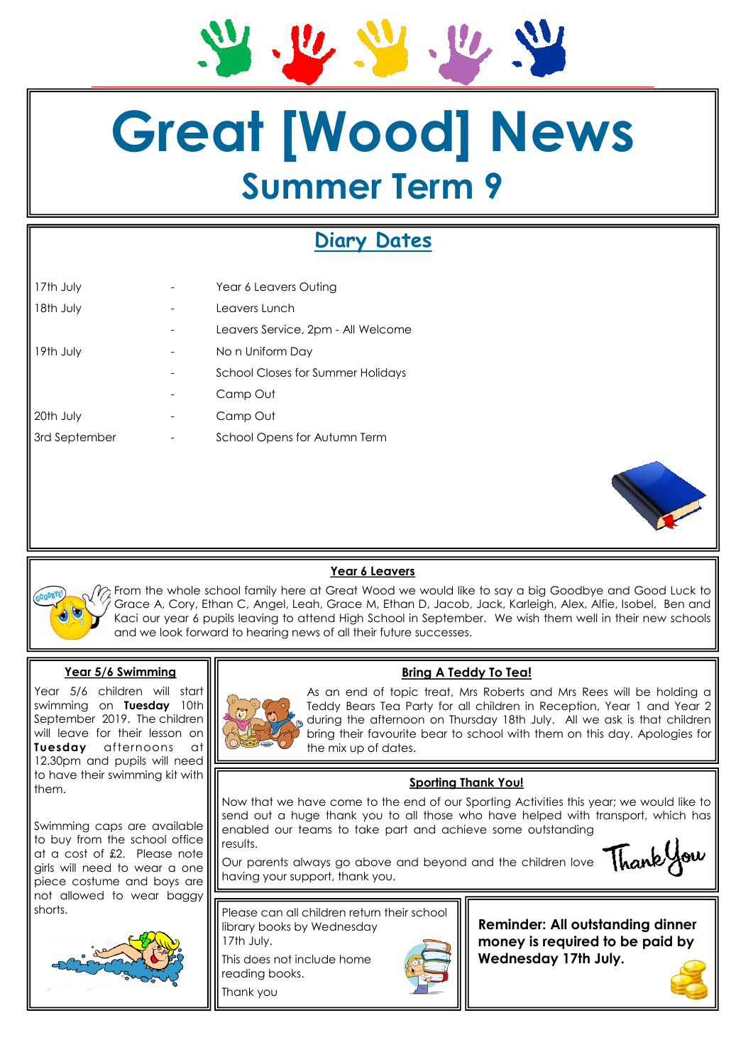# **Great [Wood] News Summer Term 9**

# **Diary Dates**

| 17th July     |   | Year 6 Leavers Outing              |
|---------------|---|------------------------------------|
| 18th July     | - | Leavers Lunch                      |
|               |   | Leavers Service, 2pm - All Welcome |
| 19th July     | - | No n Uniform Day                   |
|               |   | School Closes for Summer Holidays  |
|               |   | Camp Out                           |
| 20th July     |   | Camp Out                           |
| 3rd September | - | School Opens for Autumn Term       |
|               |   |                                    |



# **Year 6 Leavers**

From the whole school family here at Great Wood we would like to say a big Goodbye and Good Luck to Grace A, Cory, Ethan C, Angel, Leah, Grace M, Ethan D, Jacob, Jack, Karleigh, Alex, Alfie, Isobel, Ben and Kaci our year 6 pupils leaving to attend High School in September. We wish them well in their new schools and we look forward to hearing news of all their future successes.

#### **Year 5/6 Swimming**

Year 5/6 children will start swimming on **Tuesday** 10th September 2019. The children will leave for their lesson on **Tuesday** afternoons at 12.30pm and pupils will need to have their swimming kit with them.

Swimming caps are available to buy from the school office at a cost of £2. Please note girls will need to wear a one piece costume and boys are not allowed to wear baggy shorts.





As an end of topic treat, Mrs Roberts and Mrs Rees will be holding a Teddy Bears Tea Party for all children in Reception, Year 1 and Year 2 during the afternoon on Thursday 18th July. All we ask is that children bring their favourite bear to school with them on this day. Apologies for the mix up of dates.

# **Sporting Thank You!**

**Bring A Teddy To Tea!**

Now that we have come to the end of our Sporting Activities this year; we would like to send out a huge thank you to all those who have helped with transport, which has enabled our teams to take part and achieve some outstanding results.

Our parents always go above and beyond and the children love having your support, thank you.



Please can all children return their school library books by Wednesday 17th July.

This does not include home reading books.

Thank you



**Reminder: All outstanding dinner money is required to be paid by Wednesday 17th July.**